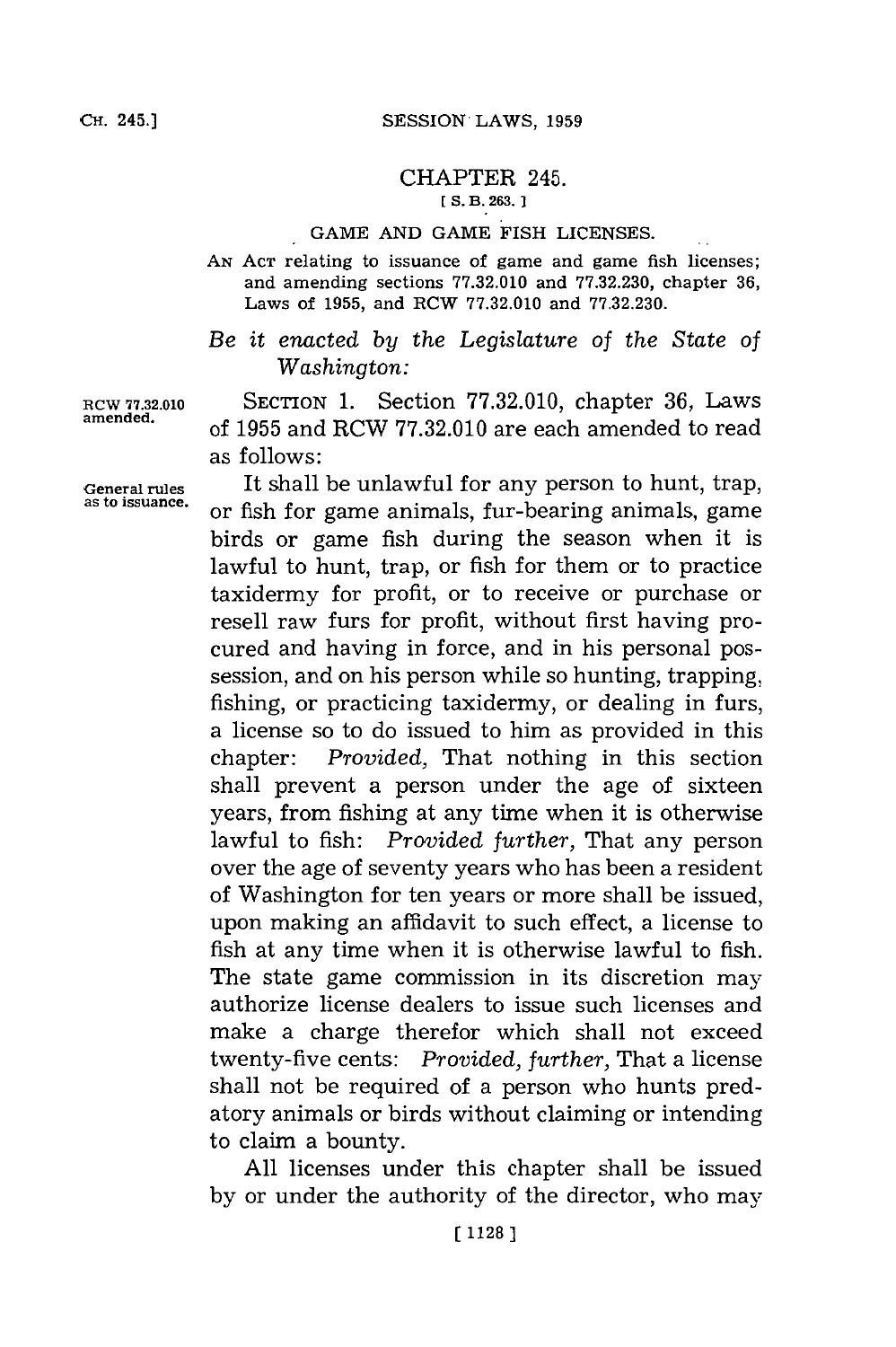## CHAPTER 245.  $[$  S. B. 263.  $]$

## **GAME AND GAME** FISH **LICENSES.**

**AN ACT** relating to issuance of game and game fish licenses; and amending sections **77.32.010** and **77.32.230,** chapter **36,** Laws of **1955,** and RCW **77.32.010** and **77.32.230.**

## *Be it enacted by the Legislature of the State of Washington:*

**RCW 77.32.010** SECTION **1.** Section **77.32.010,** chapter **36,** Laws **amended,** of **1955** and RCW **77.32.010** are each amended to read as follows:

General rules It shall be unlawful for any person to hunt, trap, as to issuance. **atoissuance,** or fish for game animals, fur-bearing animals, game birds or game fish during the season when it is lawful to hunt, trap, or fish for them or to practice taxidermy for profit, or to receive or purchase or resell raw furs for profit, without first having procured and having in force, and in his personal possession, and on his person while so hunting, trapping, fishing, or practicing taxidermy, or dealing in furs, a license so to do issued to him as provided in this chapter: *Provided,* That nothing in this section shall prevent a person under the age of sixteen years, from fishing at any time when it is otherwise lawful to fish: *Provided further,* That any person over the age of seventy years who has been a resident of Washington for ten years or more shall be issued, upon making an affidavit to such effect, a license to fish at any time when it is otherwise lawful to fish. The state game commission in its discretion may authorize license dealers to issue such licenses and make a charge therefor which shall not exceed twenty-five cents: *Provided, further,* That a license shall not be required of a person who hunts predatory animals or birds without claiming or intending to claim a bounty.

> **All** licenses under this chapter shall be issued **by** or under the authority of the director, who may